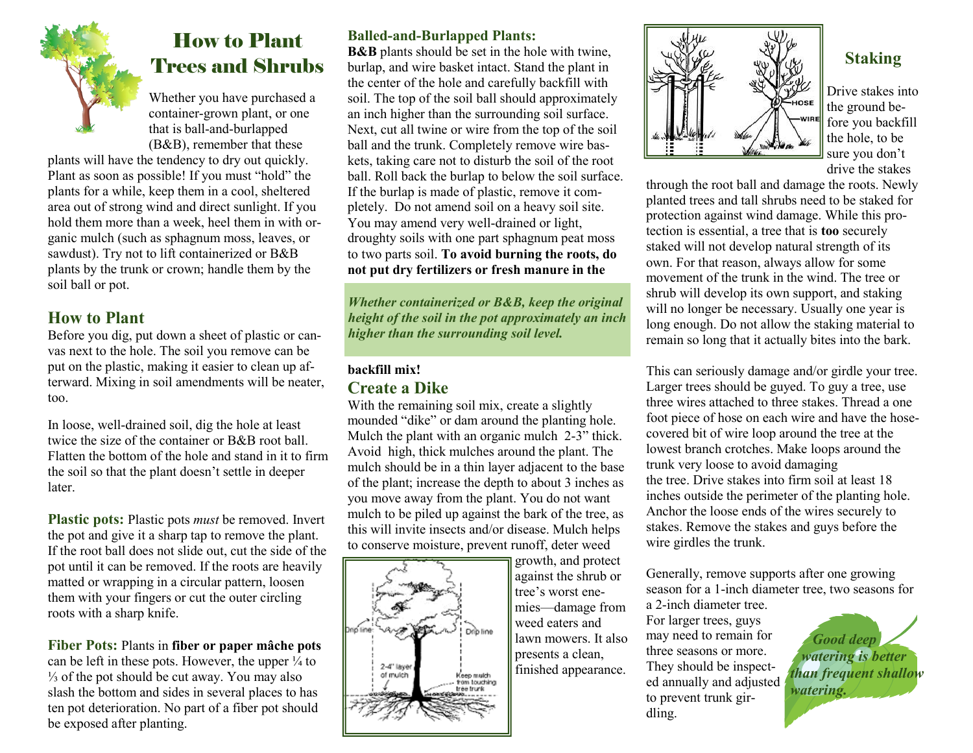

## How to Plant Trees and Shrubs

Whether you have purchased a container-grown plant, or one that is ball-and-burlapped (B&B), remember that these

plants will have the tendency to dry out quickly. Plant as soon as possible! If you must "hold" the plants for a while, keep them in a cool, sheltered area out of strong wind and direct sunlight. If you hold them more than a week, heel them in with organic mulch (such as sphagnum moss, leaves, or sawdust). Try not to lift containerized or B&B plants by the trunk or crown; handle them by the soil ball or pot.

### **How to Plant**

Before you dig, put down a sheet of plastic or canvas next to the hole. The soil you remove can be put on the plastic, making it easier to clean up afterward. Mixing in soil amendments will be neater, too.

In loose, well-drained soil, dig the hole at least twice the size of the container or B&B root ball. Flatten the bottom of the hole and stand in it to firm the soil so that the plant doesn't settle in deeper later.

**Plastic pots:** Plastic pots *must* be removed. Invert the pot and give it a sharp tap to remove the plant. If the root ball does not slide out, cut the side of the pot until it can be removed. If the roots are heavily matted or wrapping in a circular pattern, loosen them with your fingers or cut the outer circling roots with a sharp knife.

**Fiber Pots:** Plants in **fiber or paper mâche pots** can be left in these pots. However, the upper  $\frac{1}{4}$  to ⅓ of the pot should be cut away. You may also slash the bottom and sides in several places to has ten pot deterioration. No part of a fiber pot should be exposed after planting.

#### **Balled-and-Burlapped Plants:**

**B&B** plants should be set in the hole with twine, burlap, and wire basket intact. Stand the plant in the center of the hole and carefully backfill with soil. The top of the soil ball should approximately an inch higher than the surrounding soil surface. Next, cut all twine or wire from the top of the soil ball and the trunk. Completely remove wire baskets, taking care not to disturb the soil of the root ball. Roll back the burlap to below the soil surface. If the burlap is made of plastic, remove it completely. Do not amend soil on a heavy soil site. You may amend very well-drained or light, droughty soils with one part sphagnum peat moss to two parts soil. **To avoid burning the roots, do not put dry fertilizers or fresh manure in the** 

*Whether containerized or B&B, keep the original height of the soil in the pot approximately an inch higher than the surrounding soil level.*

#### **backfill mix! Create a Dike**

With the remaining soil mix, create a slightly mounded "dike" or dam around the planting hole. Mulch the plant with an organic mulch 2-3" thick. Avoid high, thick mulches around the plant. The mulch should be in a thin layer adjacent to the base of the plant; increase the depth to about 3 inches as you move away from the plant. You do not want mulch to be piled up against the bark of the tree, as this will invite insects and/or disease. Mulch helps to conserve moisture, prevent runoff, deter weed



growth, and protect against the shrub or tree's worst enemies—damage from weed eaters and lawn mowers. It also presents a clean, finished appearance.



## **Staking**

Drive stakes into the ground before you backfill the hole, to be sure you don't drive the stakes

through the root ball and damage the roots. Newly planted trees and tall shrubs need to be staked for protection against wind damage. While this protection is essential, a tree that is **too** securely staked will not develop natural strength of its own. For that reason, always allow for some movement of the trunk in the wind. The tree or shrub will develop its own support, and staking will no longer be necessary. Usually one year is long enough. Do not allow the staking material to remain so long that it actually bites into the bark.

This can seriously damage and/or girdle your tree. Larger trees should be guyed. To guy a tree, use three wires attached to three stakes. Thread a one foot piece of hose on each wire and have the hosecovered bit of wire loop around the tree at the lowest branch crotches. Make loops around the trunk very loose to avoid damaging the tree. Drive stakes into firm soil at least 18 inches outside the perimeter of the planting hole. Anchor the loose ends of the wires securely to stakes. Remove the stakes and guys before the wire girdles the trunk.

Generally, remove supports after one growing season for a 1-inch diameter tree, two seasons for

a 2-inch diameter tree. For larger trees, guys may need to remain for three seasons or more. They should be inspected annually and adjusted to prevent trunk girdling.